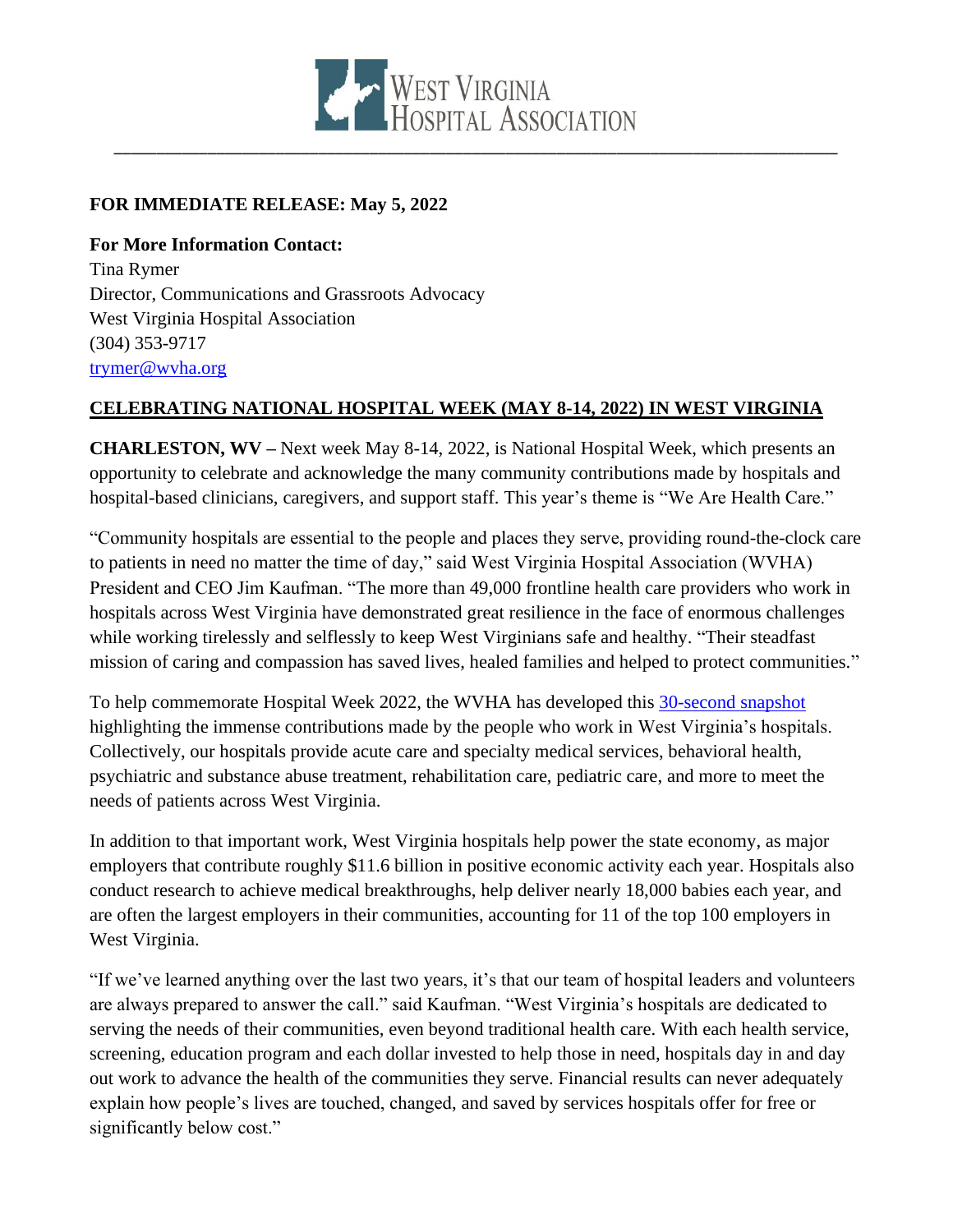

## **FOR IMMEDIATE RELEASE: May 5, 2022**

**For More Information Contact:** Tina Rymer Director, Communications and Grassroots Advocacy West Virginia Hospital Association (304) 353-9717 [trymer@wvha.org](mailto:trymer@wvha.org)

## **CELEBRATING NATIONAL HOSPITAL WEEK (MAY 8-14, 2022) IN WEST VIRGINIA**

**CHARLESTON, WV –** Next week May 8-14, 2022, is National Hospital Week, which presents an opportunity to celebrate and acknowledge the many community contributions made by hospitals and hospital-based clinicians, caregivers, and support staff. This year's theme is "We Are Health Care."

"Community hospitals are essential to the people and places they serve, providing round-the-clock care to patients in need no matter the time of day," said West Virginia Hospital Association (WVHA) President and CEO Jim Kaufman. "The more than 49,000 frontline health care providers who work in hospitals across West Virginia have demonstrated great resilience in the face of enormous challenges while working tirelessly and selflessly to keep West Virginians safe and healthy. "Their steadfast mission of caring and compassion has saved lives, healed families and helped to protect communities."

To help commemorate Hospital Week 2022, the WVHA has developed this [30-second snapshot](https://youtu.be/S7BCUpERbNQ) highlighting the immense contributions made by the people who work in West Virginia's hospitals. Collectively, our hospitals provide acute care and specialty medical services, behavioral health, psychiatric and substance abuse treatment, rehabilitation care, pediatric care, and more to meet the needs of patients across West Virginia.

In addition to that important work, West Virginia hospitals help power the state economy, as major employers that contribute roughly \$11.6 billion in positive economic activity each year. Hospitals also conduct research to achieve medical breakthroughs, help deliver nearly 18,000 babies each year, and are often the largest employers in their communities, accounting for 11 of the top 100 employers in West Virginia.

"If we've learned anything over the last two years, it's that our team of hospital leaders and volunteers are always prepared to answer the call." said Kaufman. "West Virginia's hospitals are dedicated to serving the needs of their communities, even beyond traditional health care. With each health service, screening, education program and each dollar invested to help those in need, hospitals day in and day out work to advance the health of the communities they serve. Financial results can never adequately explain how people's lives are touched, changed, and saved by services hospitals offer for free or significantly below cost."